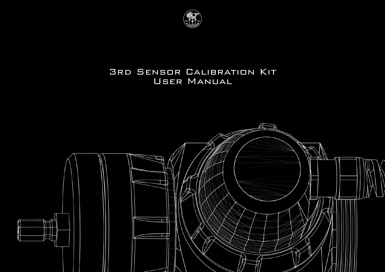

## 3RD SENSOR CALIBRATION KIT User Manual

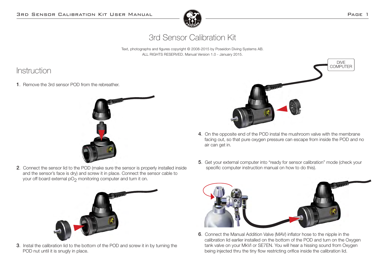

# 3rd Sensor Calibration Kit

Text, photographs and figures copyright © 2008-2015 by Poseidon Diving Systems AB. ALL RIGHTS RESERVED. Manual Version 1.0 - January 2015.

## Instruction

1. Remove the 3rd sensor POD from the rebreather.



2. Connect the sensor lid to the POD (make sure the sensor is properly installed inside and the sensor's face is dry) and screw it in place. Connect the sensor cable to your off board external pO<sub>2</sub> monitoring computer and turn it on.



3. Instal the calibration lid to the bottom of the POD and screw it in by turning the POD nut until it is snugly in place.



- 4. On the opposite end of the POD instal the mushroom valve with the membrane facing out, so that pure oxygen pressure can escape from inside the POD and no air can get in.
- 5. Get your external computer into "ready for sensor calibration" mode (check your specific computer instruction manual on how to do this).



6. Connect the Manual Addition Valve (MAV) inflator hose to the nipple in the calibration lid earlier installed on the bottom of the POD and turn on the Oxygen tank valve on your MkVI or SE7EN. You will hear a hissing sound from Oxygen being injected thru the tiny flow restricting orifice inside the calibration lid.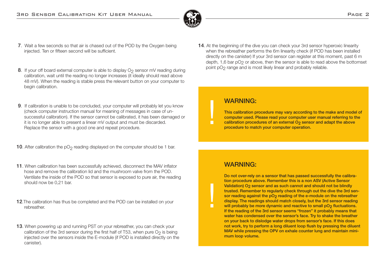

- 7. Wait a few seconds so that air is chased out of the POD by the Oxygen being injected. Ten or fifteen second will be sufficient.
- 8. If your off board external computer is able to display  $O<sub>2</sub>$  sensor mV reading during calibration, wait until the reading no longer increases (it ideally should read above 48 mV). When the reading is stable press the relevant button on your computer to begin calibration.
- 9. If calibration is unable to be concluded, your computer will probably let you know (check computer instruction manual for meaning of messages in case of un successful calibration). If the sensor cannot be calibrated, it has been damaged or it is no longer able to present a linear mV output and must be discarded. Replace the sensor with a good one and repeat procedure.
- **10.** After calibration the  $pO<sub>2</sub>$  reading displayed on the computer should be 1 bar.
- 11. When calibration has been successfully achieved, disconnect the MAV inflator hose and remove the calibration lid and the mushroom valve from the POD. Ventilate the inside of the POD so that sensor is exposed to pure air, the reading should now be 0,21 bar.
- 12. The calibration has thus be completed and the POD can be installed on your rebreather.
- 13. When powering up and running PST on your rebreather, you can check your calibration of the 3rd sensor during the first half of T53, when pure  $O<sub>2</sub>$  is being injected over the sensors inside the E-module (if POD is installed directly on the canister).

14. At the beginning of the dive you can check your 3rd sensor hyperoxic linearity when the rebreather performs the 6m linearity check (if POD has been installed directly on the canister) If your 3rd sensor can register at this moment, past 6 m depth, 1,6 bar pO<sub>2</sub> or above, then the sensor is able to read above the bottomset point pO2 range and is most likely linear and probably reliable.

#### WARNING:

 $\blacksquare$ 

 $\blacksquare$ 

This calibration procedure may vary according to the make and model of computer used. Please read your computer user manual referring to the calibration procedures of an external O<sub>2</sub> sensor and adapt the above procedure to match your computer operation.

### WARNING:

Do not over-rely on a sensor that has passed successfully the calibration procedure above. Remember this is a non ASV (Active Sensor Validation) O<sub>2</sub> sensor and as such cannot and should not be blindly trusted. Remember to regularly check through out the dive the 3rd sensor reading against the pO<sub>2</sub> reading of the e-module on the rebreather display. The readings should match closely, but the 3rd sensor reading will probably be more dynamic and reactive to small pO<sub>2</sub> fluctuations. If the reading of the 3rd sensor seems "frozen" it probably means that water has condensed over the sensor's face. Try to shake the breather on your back to dislodge water drops from sensor's face. If this does not work, try to perform a long diluent loop flush by pressing the diluent MAV while pressing the OPV on exhale counter lung and maintain minimum loop volume.